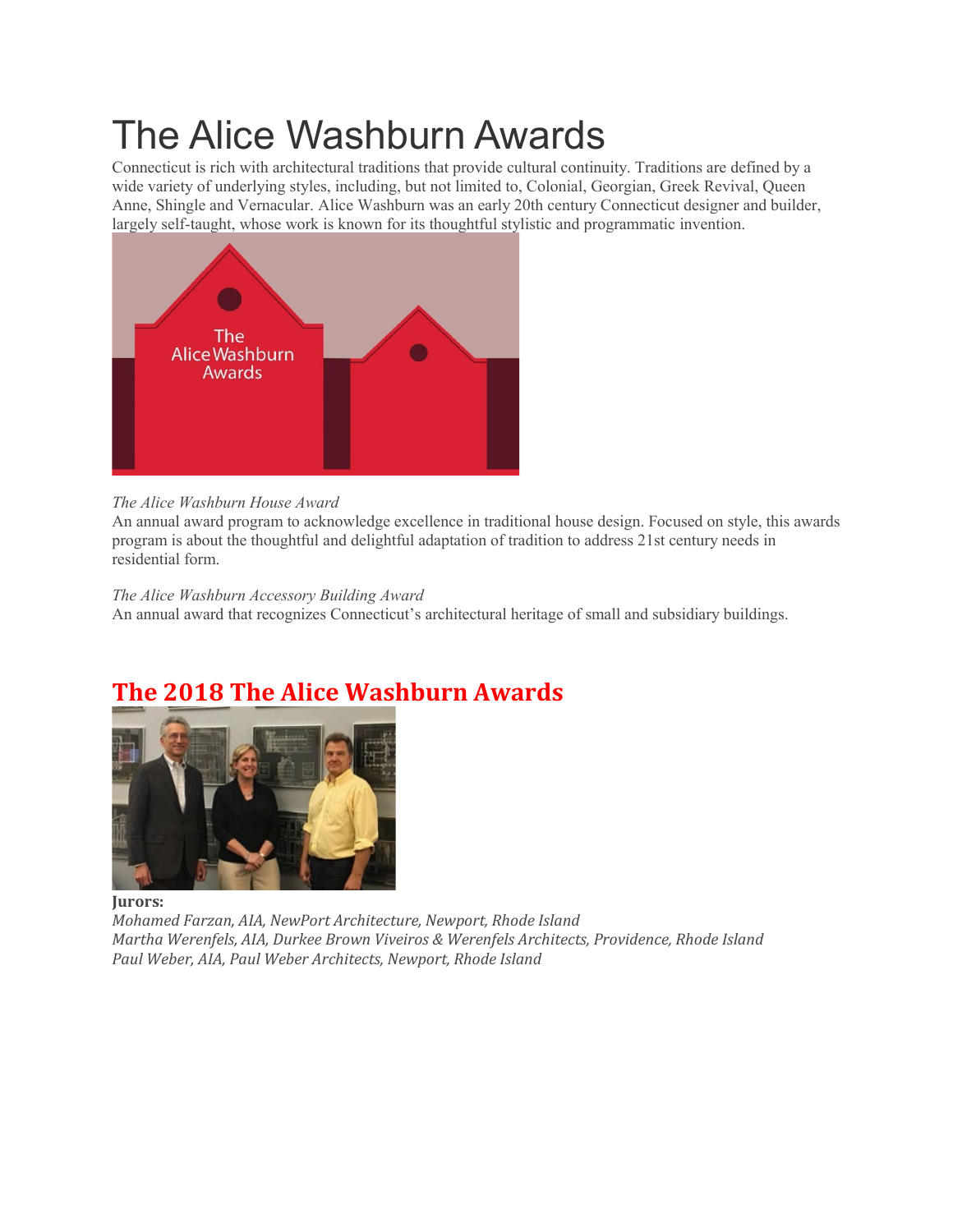# The Alice Washburn Awards

Connecticut is rich with architectural traditions that provide cultural continuity. Traditions are defined by a wide variety of underlying styles, including, but not limited to, Colonial, Georgian, Greek Revival, Queen Anne, Shingle and Vernacular. Alice Washburn was an early 20th century Connecticut designer and builder, largely self-taught, whose work is known for its thoughtful stylistic and programmatic invention.



#### *The Alice Washburn House Award*

An annual award program to acknowledge excellence in traditional house design. Focused on style, this awards program is about the thoughtful and delightful adaptation of tradition to address 21st century needs in residential form.

*The Alice Washburn Accessory Building Award* An annual award that recognizes Connecticut's architectural heritage of small and subsidiary buildings.

## **The 2018 The Alice Washburn Awards**



**Jurors:**

*Mohamed Farzan, AIA, NewPort Architecture, Newport, Rhode Island Martha Werenfels, AIA, Durkee Brown Viveiros & Werenfels Architects, Providence, Rhode Island Paul Weber, AIA, Paul Weber Architects, Newport, Rhode Island*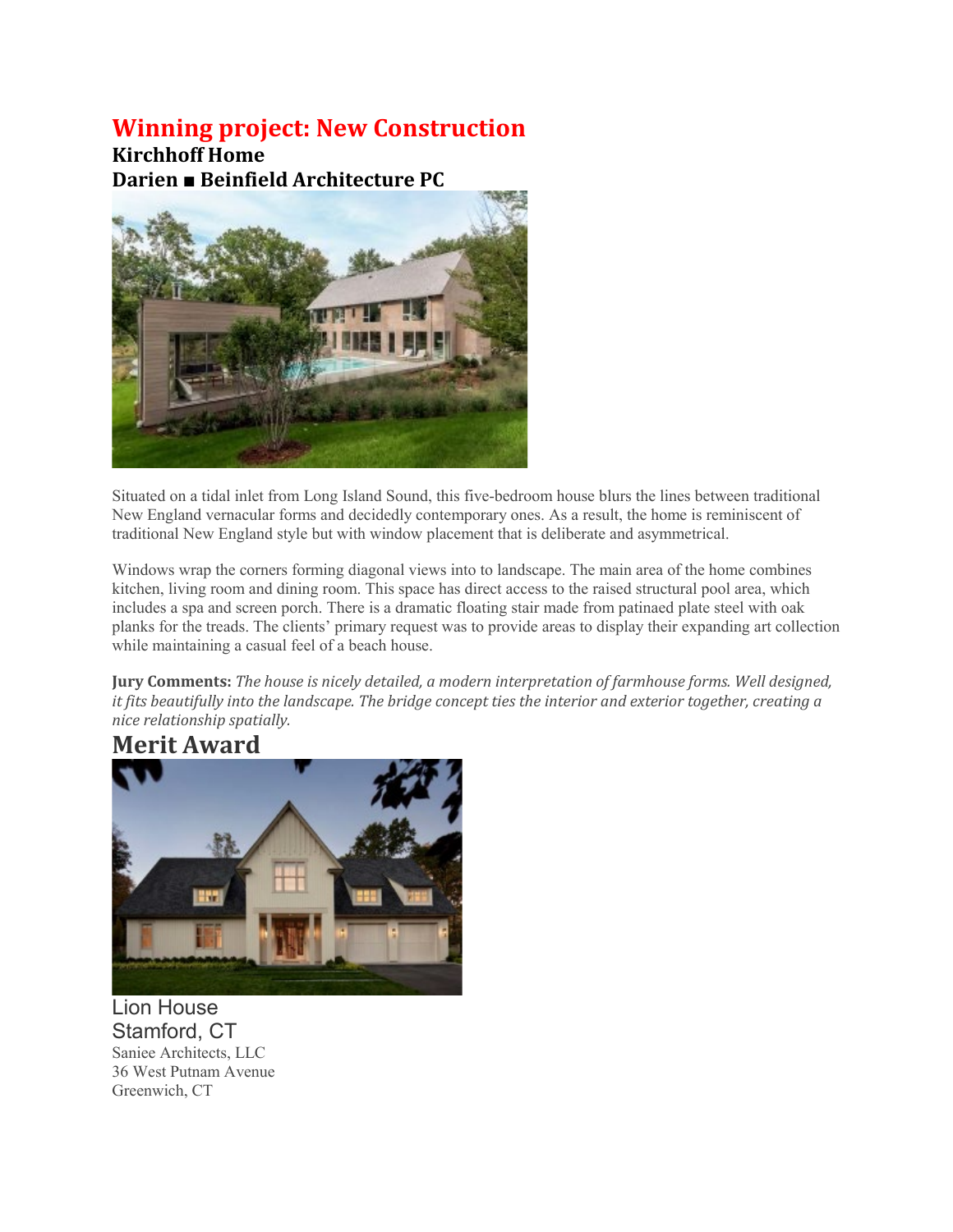#### **Winning project: New Construction**

**Kirchhoff Home Darien ■ Beinfield Architecture PC**



Situated on a tidal inlet from Long Island Sound, this five-bedroom house blurs the lines between traditional New England vernacular forms and decidedly contemporary ones. As a result, the home is reminiscent of traditional New England style but with window placement that is deliberate and asymmetrical.

Windows wrap the corners forming diagonal views into to landscape. The main area of the home combines kitchen, living room and dining room. This space has direct access to the raised structural pool area, which includes a spa and screen porch. There is a dramatic floating stair made from patinaed plate steel with oak planks for the treads. The clients' primary request was to provide areas to display their expanding art collection while maintaining a casual feel of a beach house.

**Jury Comments:** *The house is nicely detailed, a modern interpretation of farmhouse forms. Well designed,* it fits beautifully into the landscape. The bridge concept ties the interior and exterior together, creating a *nice relationship spatially.*



Lion House Stamford, CT Saniee Architects, LLC 36 West Putnam Avenue Greenwich, CT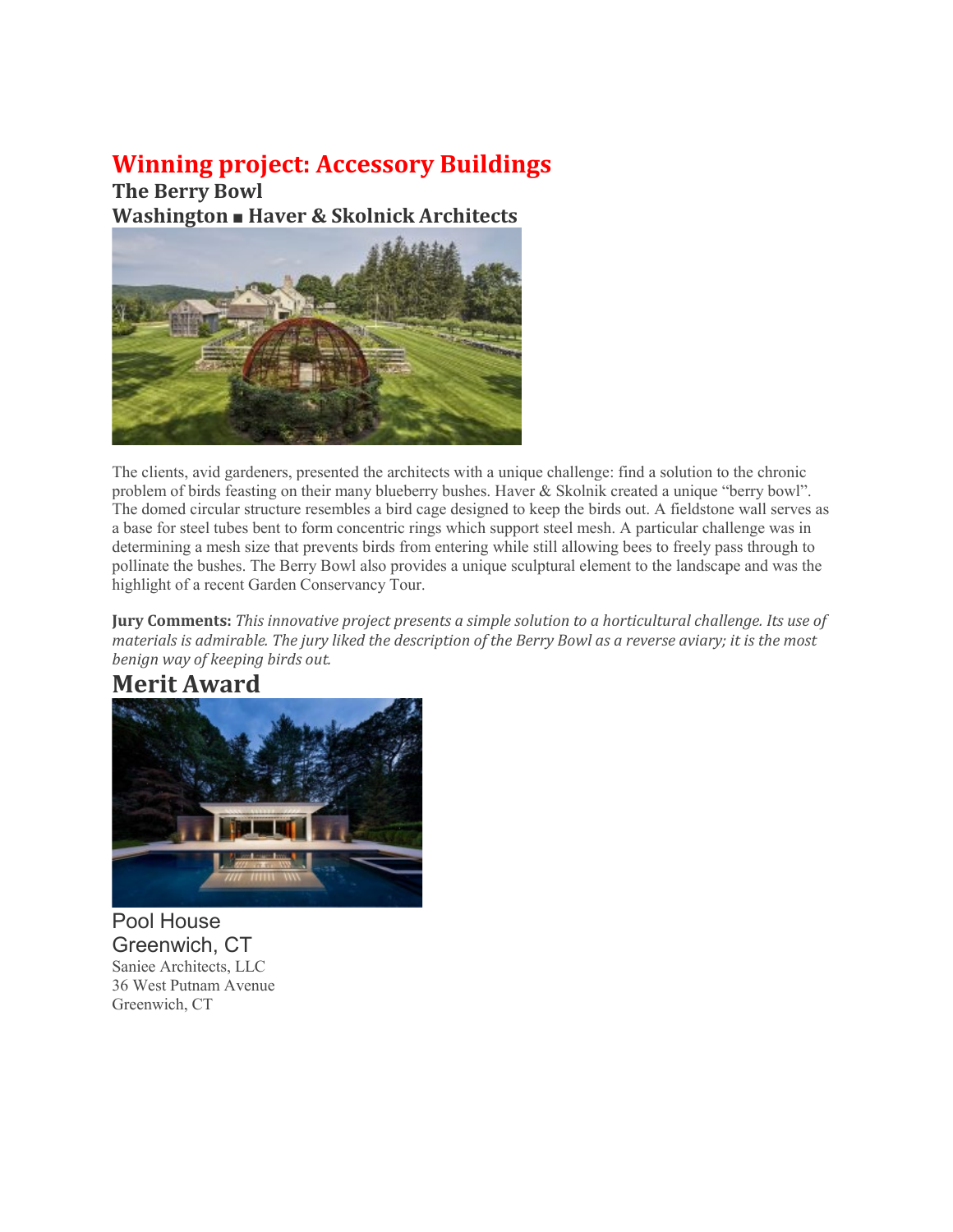## **Winning project: Accessory Buildings**

**The Berry Bowl Washington ■ Haver & Skolnick Architects**



The clients, avid gardeners, presented the architects with a unique challenge: find a solution to the chronic problem of birds feasting on their many blueberry bushes. Haver & Skolnik created a unique "berry bowl". The domed circular structure resembles a bird cage designed to keep the birds out. A fieldstone wall serves as a base for steel tubes bent to form concentric rings which support steel mesh. A particular challenge was in determining a mesh size that prevents birds from entering while still allowing bees to freely pass through to pollinate the bushes. The Berry Bowl also provides a unique sculptural element to the landscape and was the highlight of a recent Garden Conservancy Tour.

**Jury Comments:** *This innovative project presents a simple solution to a horticultural challenge. Its use of* materials is admirable. The jury liked the description of the Berry Bowl as a reverse aviary; it is the most *benign way of keeping birds out.*

### **Merit Award**



Pool House Greenwich, CT Saniee Architects, LLC 36 West Putnam Avenue Greenwich, CT